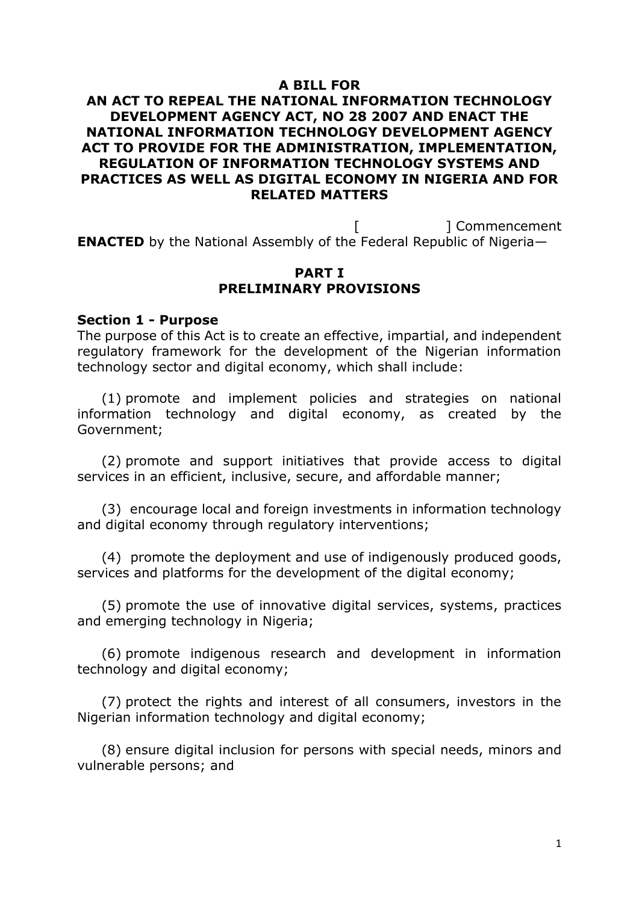#### **A BILL FOR**

#### **AN ACT TO REPEAL THE NATIONAL INFORMATION TECHNOLOGY DEVELOPMENT AGENCY ACT, NO 28 2007 AND ENACT THE NATIONAL INFORMATION TECHNOLOGY DEVELOPMENT AGENCY ACT TO PROVIDE FOR THE ADMINISTRATION, IMPLEMENTATION, REGULATION OF INFORMATION TECHNOLOGY SYSTEMS AND PRACTICES AS WELL AS DIGITAL ECONOMY IN NIGERIA AND FOR RELATED MATTERS**

[  $\sim$  1 Commencement **ENACTED** by the National Assembly of the Federal Republic of Nigeria—

#### **PART I PRELIMINARY PROVISIONS**

#### **Section 1 - Purpose**

The purpose of this Act is to create an effective, impartial, and independent regulatory framework for the development of the Nigerian information technology sector and digital economy, which shall include:

(1) promote and implement policies and strategies on national information technology and digital economy, as created by the Government;

(2) promote and support initiatives that provide access to digital services in an efficient, inclusive, secure, and affordable manner;

(3) encourage local and foreign investments in information technology and digital economy through regulatory interventions;

(4) promote the deployment and use of indigenously produced goods, services and platforms for the development of the digital economy;

(5) promote the use of innovative digital services, systems, practices and emerging technology in Nigeria;

(6) promote indigenous research and development in information technology and digital economy;

(7) protect the rights and interest of all consumers, investors in the Nigerian information technology and digital economy;

(8) ensure digital inclusion for persons with special needs, minors and vulnerable persons; and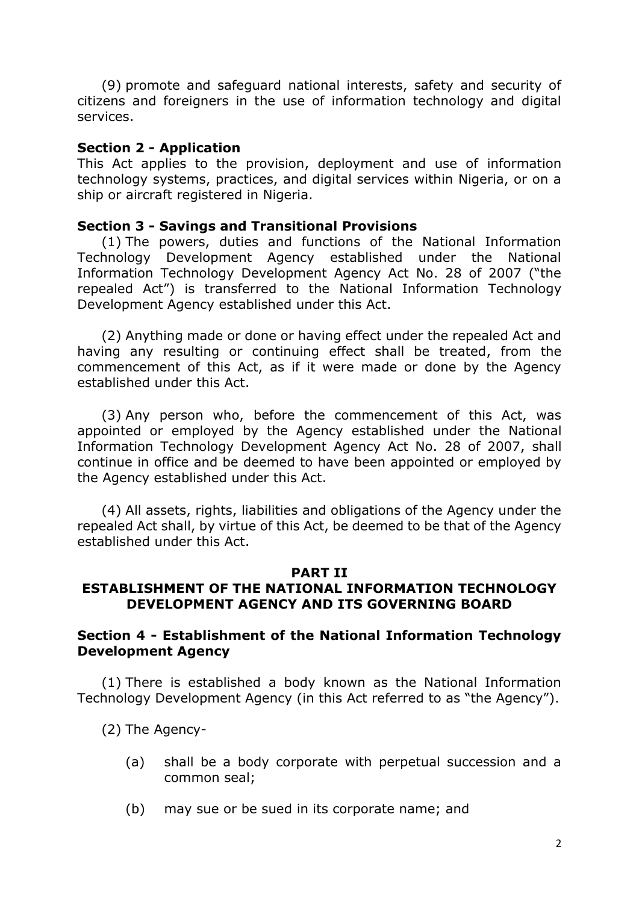(9) promote and safeguard national interests, safety and security of citizens and foreigners in the use of information technology and digital services.

#### **Section 2 - Application**

This Act applies to the provision, deployment and use of information technology systems, practices, and digital services within Nigeria, or on a ship or aircraft registered in Nigeria.

#### **Section 3 - Savings and Transitional Provisions**

(1) The powers, duties and functions of the National Information Technology Development Agency established under the National Information Technology Development Agency Act No. 28 of 2007 ("the repealed Act") is transferred to the National Information Technology Development Agency established under this Act.

(2) Anything made or done or having effect under the repealed Act and having any resulting or continuing effect shall be treated, from the commencement of this Act, as if it were made or done by the Agency established under this Act.

(3) Any person who, before the commencement of this Act, was appointed or employed by the Agency established under the National Information Technology Development Agency Act No. 28 of 2007, shall continue in office and be deemed to have been appointed or employed by the Agency established under this Act.

(4) All assets, rights, liabilities and obligations of the Agency under the repealed Act shall, by virtue of this Act, be deemed to be that of the Agency established under this Act.

#### **PART II**

### **ESTABLISHMENT OF THE NATIONAL INFORMATION TECHNOLOGY DEVELOPMENT AGENCY AND ITS GOVERNING BOARD**

#### **Section 4 - Establishment of the National Information Technology Development Agency**

(1) There is established a body known as the National Information Technology Development Agency (in this Act referred to as "the Agency").

(2) The Agency-

- (a) shall be a body corporate with perpetual succession and a common seal;
- (b) may sue or be sued in its corporate name; and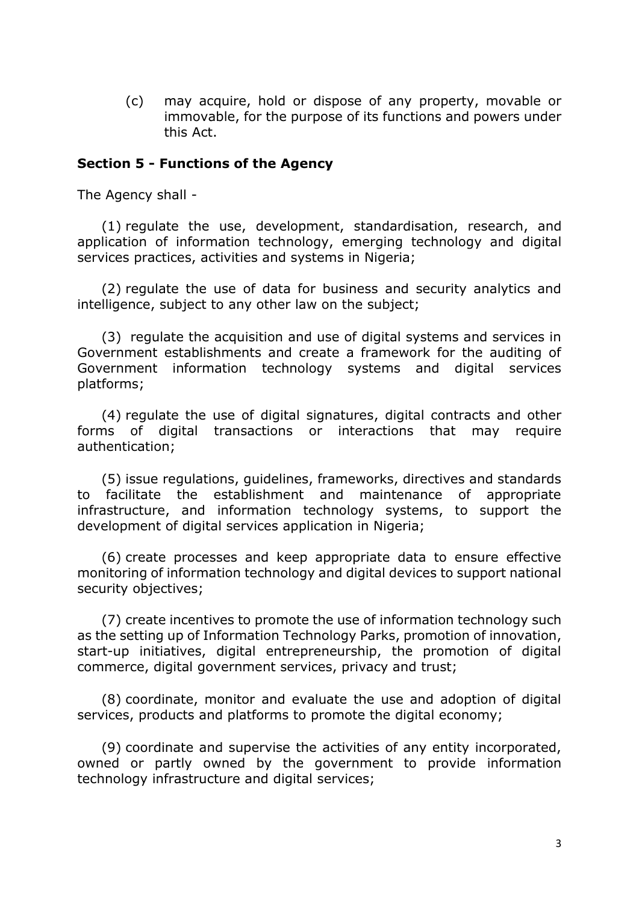(c) may acquire, hold or dispose of any property, movable or immovable, for the purpose of its functions and powers under this Act.

#### **Section 5 - Functions of the Agency**

The Agency shall -

(1) regulate the use, development, standardisation, research, and application of information technology, emerging technology and digital services practices, activities and systems in Nigeria;

(2) regulate the use of data for business and security analytics and intelligence, subject to any other law on the subject;

(3) regulate the acquisition and use of digital systems and services in Government establishments and create a framework for the auditing of Government information technology systems and digital services platforms;

(4) regulate the use of digital signatures, digital contracts and other forms of digital transactions or interactions that may require authentication;

(5) issue regulations, guidelines, frameworks, directives and standards to facilitate the establishment and maintenance of appropriate infrastructure, and information technology systems, to support the development of digital services application in Nigeria;

(6) create processes and keep appropriate data to ensure effective monitoring of information technology and digital devices to support national security objectives;

(7) create incentives to promote the use of information technology such as the setting up of Information Technology Parks, promotion of innovation, start-up initiatives, digital entrepreneurship, the promotion of digital commerce, digital government services, privacy and trust;

(8) coordinate, monitor and evaluate the use and adoption of digital services, products and platforms to promote the digital economy;

(9) coordinate and supervise the activities of any entity incorporated, owned or partly owned by the government to provide information technology infrastructure and digital services;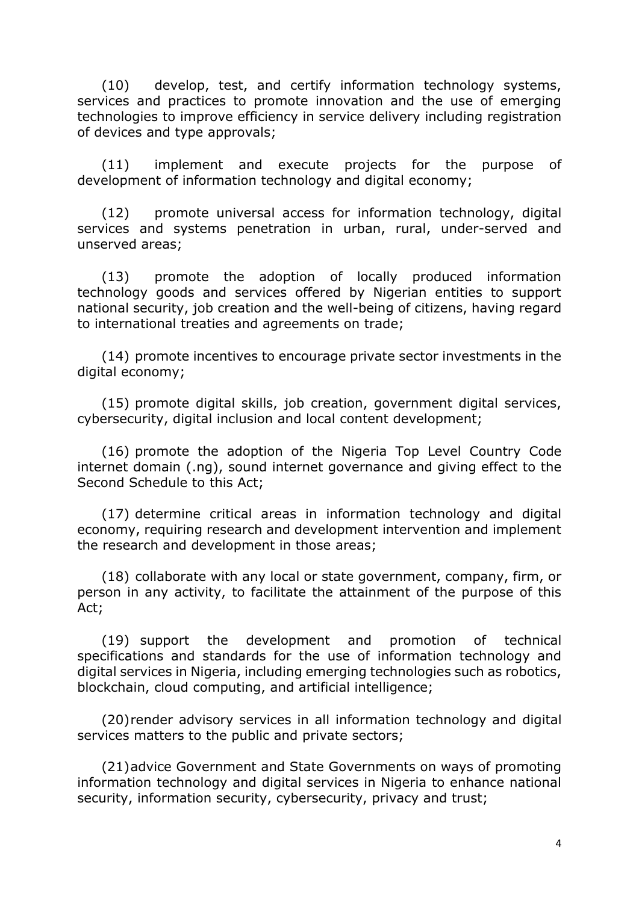(10) develop, test, and certify information technology systems, services and practices to promote innovation and the use of emerging technologies to improve efficiency in service delivery including registration of devices and type approvals;

(11) implement and execute projects for the purpose of development of information technology and digital economy;

(12) promote universal access for information technology, digital services and systems penetration in urban, rural, under-served and unserved areas;

(13) promote the adoption of locally produced information technology goods and services offered by Nigerian entities to support national security, job creation and the well-being of citizens, having regard to international treaties and agreements on trade;

(14) promote incentives to encourage private sector investments in the digital economy;

(15) promote digital skills, job creation, government digital services, cybersecurity, digital inclusion and local content development;

(16) promote the adoption of the Nigeria Top Level Country Code internet domain (.ng), sound internet governance and giving effect to the Second Schedule to this Act;

(17) determine critical areas in information technology and digital economy, requiring research and development intervention and implement the research and development in those areas;

(18) collaborate with any local or state government, company, firm, or person in any activity, to facilitate the attainment of the purpose of this Act;

(19) support the development and promotion of technical specifications and standards for the use of information technology and digital services in Nigeria, including emerging technologies such as robotics, blockchain, cloud computing, and artificial intelligence;

(20)render advisory services in all information technology and digital services matters to the public and private sectors;

(21)advice Government and State Governments on ways of promoting information technology and digital services in Nigeria to enhance national security, information security, cybersecurity, privacy and trust;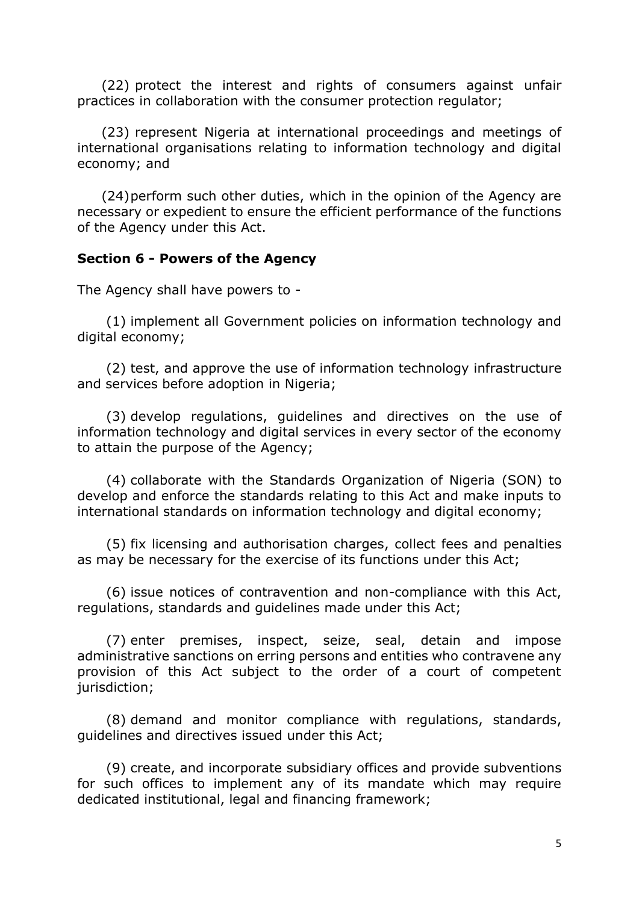(22) protect the interest and rights of consumers against unfair practices in collaboration with the consumer protection regulator;

(23) represent Nigeria at international proceedings and meetings of international organisations relating to information technology and digital economy; and

(24)perform such other duties, which in the opinion of the Agency are necessary or expedient to ensure the efficient performance of the functions of the Agency under this Act.

#### **Section 6 - Powers of the Agency**

The Agency shall have powers to -

(1) implement all Government policies on information technology and digital economy;

(2) test, and approve the use of information technology infrastructure and services before adoption in Nigeria;

(3) develop regulations, guidelines and directives on the use of information technology and digital services in every sector of the economy to attain the purpose of the Agency;

(4) collaborate with the Standards Organization of Nigeria (SON) to develop and enforce the standards relating to this Act and make inputs to international standards on information technology and digital economy;

(5) fix licensing and authorisation charges, collect fees and penalties as may be necessary for the exercise of its functions under this Act;

(6) issue notices of contravention and non-compliance with this Act, regulations, standards and guidelines made under this Act;

(7) enter premises, inspect, seize, seal, detain and impose administrative sanctions on erring persons and entities who contravene any provision of this Act subject to the order of a court of competent jurisdiction;

(8) demand and monitor compliance with regulations, standards, guidelines and directives issued under this Act;

(9) create, and incorporate subsidiary offices and provide subventions for such offices to implement any of its mandate which may require dedicated institutional, legal and financing framework;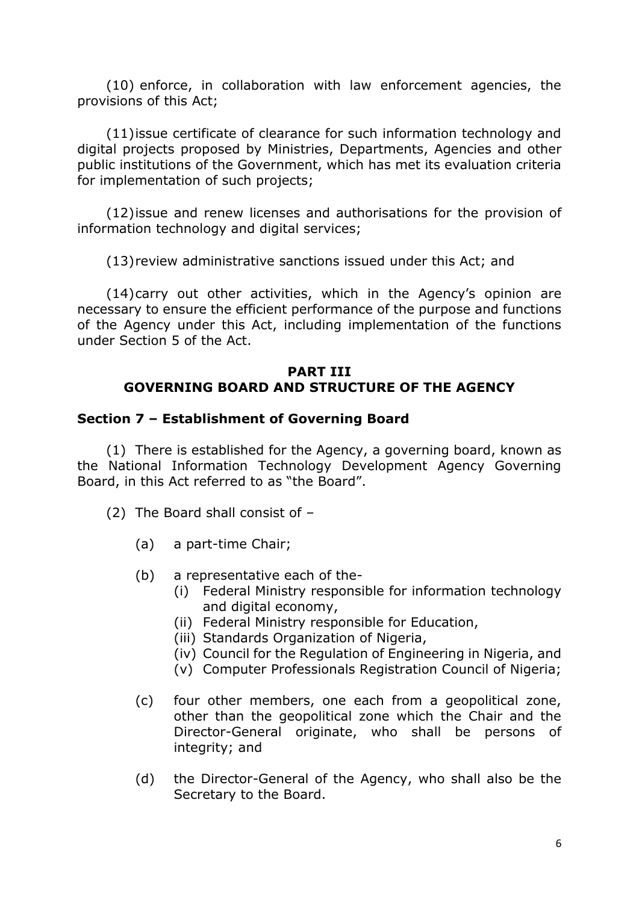(10) enforce, in collaboration with law enforcement agencies, the provisions of this Act;

(11)issue certificate of clearance for such information technology and digital projects proposed by Ministries, Departments, Agencies and other public institutions of the Government, which has met its evaluation criteria for implementation of such projects;

(12)issue and renew licenses and authorisations for the provision of information technology and digital services;

(13)review administrative sanctions issued under this Act; and

(14)carry out other activities, which in the Agency's opinion are necessary to ensure the efficient performance of the purpose and functions of the Agency under this Act, including implementation of the functions under Section 5 of the Act.

### **PART III GOVERNING BOARD AND STRUCTURE OF THE AGENCY**

## **Section 7 – Establishment of Governing Board**

(1) There is established for the Agency, a governing board, known as the National Information Technology Development Agency Governing Board, in this Act referred to as "the Board".

- (2) The Board shall consist of
	- (a) a part-time Chair;
	- (b) a representative each of the-
		- (i) Federal Ministry responsible for information technology and digital economy,
		- (ii) Federal Ministry responsible for Education,
		- (iii) Standards Organization of Nigeria,
		- (iv) Council for the Regulation of Engineering in Nigeria, and
		- (v) Computer Professionals Registration Council of Nigeria;
	- (c) four other members, one each from a geopolitical zone, other than the geopolitical zone which the Chair and the Director-General originate, who shall be persons of integrity; and
	- (d) the Director-General of the Agency, who shall also be the Secretary to the Board.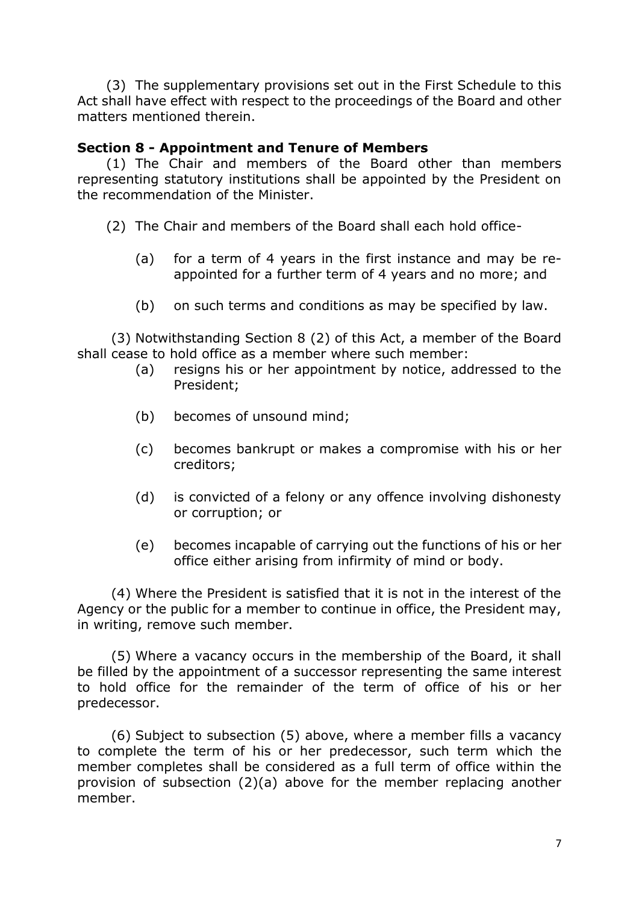(3) The supplementary provisions set out in the First Schedule to this Act shall have effect with respect to the proceedings of the Board and other matters mentioned therein.

### **Section 8 - Appointment and Tenure of Members**

(1) The Chair and members of the Board other than members representing statutory institutions shall be appointed by the President on the recommendation of the Minister.

- (2) The Chair and members of the Board shall each hold office-
	- (a) for a term of 4 years in the first instance and may be reappointed for a further term of 4 years and no more; and
	- (b) on such terms and conditions as may be specified by law.

(3) Notwithstanding Section 8 (2) of this Act, a member of the Board shall cease to hold office as a member where such member:

- (a) resigns his or her appointment by notice, addressed to the President;
- (b) becomes of unsound mind;
- (c) becomes bankrupt or makes a compromise with his or her creditors;
- (d) is convicted of a felony or any offence involving dishonesty or corruption; or
- (e) becomes incapable of carrying out the functions of his or her office either arising from infirmity of mind or body.

(4) Where the President is satisfied that it is not in the interest of the Agency or the public for a member to continue in office, the President may, in writing, remove such member.

(5) Where a vacancy occurs in the membership of the Board, it shall be filled by the appointment of a successor representing the same interest to hold office for the remainder of the term of office of his or her predecessor.

(6) Subject to subsection (5) above, where a member fills a vacancy to complete the term of his or her predecessor, such term which the member completes shall be considered as a full term of office within the provision of subsection (2)(a) above for the member replacing another member.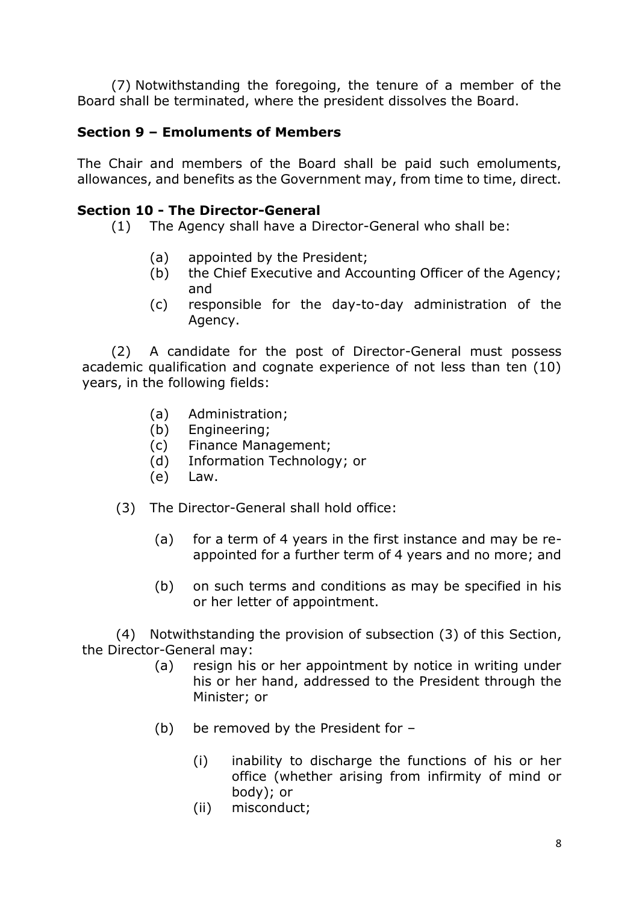(7) Notwithstanding the foregoing, the tenure of a member of the Board shall be terminated, where the president dissolves the Board.

## **Section 9 – Emoluments of Members**

The Chair and members of the Board shall be paid such emoluments, allowances, and benefits as the Government may, from time to time, direct.

## **Section 10 - The Director-General**

(1) The Agency shall have a Director-General who shall be:

- (a) appointed by the President;
- (b) the Chief Executive and Accounting Officer of the Agency; and
- (c) responsible for the day-to-day administration of the Agency.

(2) A candidate for the post of Director-General must possess academic qualification and cognate experience of not less than ten (10) years, in the following fields:

- (a) Administration;
- (b) Engineering;
- (c) Finance Management;
- (d) Information Technology; or
- (e) Law.
- (3) The Director-General shall hold office:
	- (a) for a term of 4 years in the first instance and may be reappointed for a further term of 4 years and no more; and
	- (b) on such terms and conditions as may be specified in his or her letter of appointment.

(4) Notwithstanding the provision of subsection (3) of this Section, the Director-General may:

- (a) resign his or her appointment by notice in writing under his or her hand, addressed to the President through the Minister; or
- (b) be removed by the President for
	- (i) inability to discharge the functions of his or her office (whether arising from infirmity of mind or body); or
	- (ii) misconduct;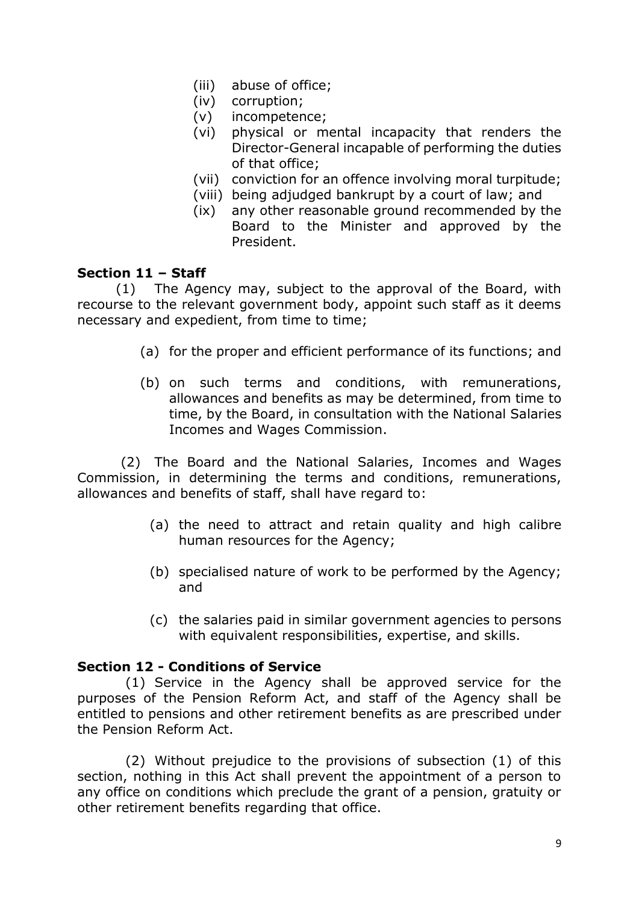- (iii) abuse of office;
- (iv) corruption;
- (v) incompetence;
- (vi) physical or mental incapacity that renders the Director-General incapable of performing the duties of that office;
- (vii) conviction for an offence involving moral turpitude;
- (viii) being adjudged bankrupt by a court of law; and
- (ix) any other reasonable ground recommended by the Board to the Minister and approved by the President.

### **Section 11 – Staff**

(1) The Agency may, subject to the approval of the Board, with recourse to the relevant government body, appoint such staff as it deems necessary and expedient, from time to time;

- (a) for the proper and efficient performance of its functions; and
- (b) on such terms and conditions, with remunerations, allowances and benefits as may be determined, from time to time, by the Board, in consultation with the National Salaries Incomes and Wages Commission.

(2) The Board and the National Salaries, Incomes and Wages Commission, in determining the terms and conditions, remunerations, allowances and benefits of staff, shall have regard to:

- (a) the need to attract and retain quality and high calibre human resources for the Agency;
- (b) specialised nature of work to be performed by the Agency; and
- (c) the salaries paid in similar government agencies to persons with equivalent responsibilities, expertise, and skills.

### **Section 12 - Conditions of Service**

(1) Service in the Agency shall be approved service for the purposes of the Pension Reform Act, and staff of the Agency shall be entitled to pensions and other retirement benefits as are prescribed under the Pension Reform Act.

(2) Without prejudice to the provisions of subsection (1) of this section, nothing in this Act shall prevent the appointment of a person to any office on conditions which preclude the grant of a pension, gratuity or other retirement benefits regarding that office.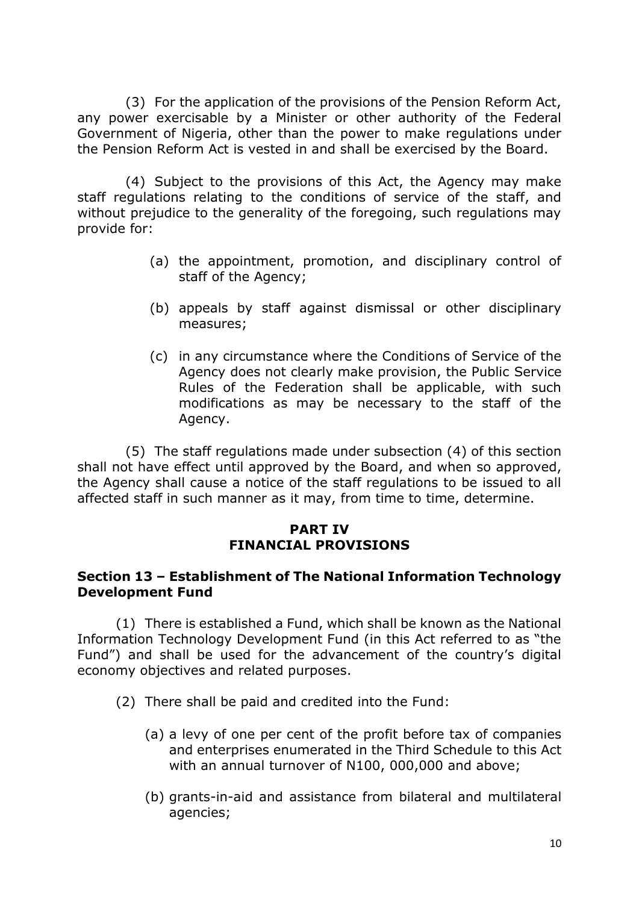(3) For the application of the provisions of the Pension Reform Act, any power exercisable by a Minister or other authority of the Federal Government of Nigeria, other than the power to make regulations under the Pension Reform Act is vested in and shall be exercised by the Board.

(4) Subject to the provisions of this Act, the Agency may make staff regulations relating to the conditions of service of the staff, and without prejudice to the generality of the foregoing, such regulations may provide for:

- (a) the appointment, promotion, and disciplinary control of staff of the Agency;
- (b) appeals by staff against dismissal or other disciplinary measures;
- (c) in any circumstance where the Conditions of Service of the Agency does not clearly make provision, the Public Service Rules of the Federation shall be applicable, with such modifications as may be necessary to the staff of the Agency.

(5) The staff regulations made under subsection (4) of this section shall not have effect until approved by the Board, and when so approved, the Agency shall cause a notice of the staff regulations to be issued to all affected staff in such manner as it may, from time to time, determine.

### **PART IV FINANCIAL PROVISIONS**

### **Section 13 – Establishment of The National Information Technology Development Fund**

(1) There is established a Fund, which shall be known as the National Information Technology Development Fund (in this Act referred to as "the Fund") and shall be used for the advancement of the country's digital economy objectives and related purposes.

- (2) There shall be paid and credited into the Fund:
	- (a) a levy of one per cent of the profit before tax of companies and enterprises enumerated in the Third Schedule to this Act with an annual turnover of N100, 000,000 and above;
	- (b) grants-in-aid and assistance from bilateral and multilateral agencies;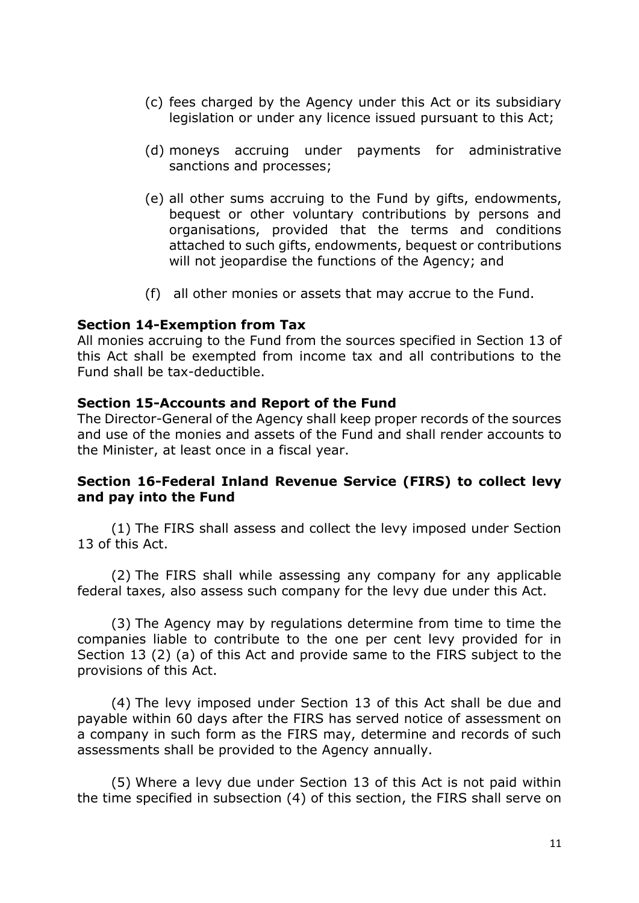- (c) fees charged by the Agency under this Act or its subsidiary legislation or under any licence issued pursuant to this Act;
- (d) moneys accruing under payments for administrative sanctions and processes;
- (e) all other sums accruing to the Fund by gifts, endowments, bequest or other voluntary contributions by persons and organisations, provided that the terms and conditions attached to such gifts, endowments, bequest or contributions will not jeopardise the functions of the Agency; and
- (f) all other monies or assets that may accrue to the Fund.

#### **Section 14-Exemption from Tax**

All monies accruing to the Fund from the sources specified in Section 13 of this Act shall be exempted from income tax and all contributions to the Fund shall be tax-deductible.

#### **Section 15-Accounts and Report of the Fund**

The Director-General of the Agency shall keep proper records of the sources and use of the monies and assets of the Fund and shall render accounts to the Minister, at least once in a fiscal year.

#### **Section 16-Federal Inland Revenue Service (FIRS) to collect levy and pay into the Fund**

(1) The FIRS shall assess and collect the levy imposed under Section 13 of this Act.

(2) The FIRS shall while assessing any company for any applicable federal taxes, also assess such company for the levy due under this Act.

(3) The Agency may by regulations determine from time to time the companies liable to contribute to the one per cent levy provided for in Section 13 (2) (a) of this Act and provide same to the FIRS subject to the provisions of this Act.

(4) The levy imposed under Section 13 of this Act shall be due and payable within 60 days after the FIRS has served notice of assessment on a company in such form as the FIRS may, determine and records of such assessments shall be provided to the Agency annually.

(5) Where a levy due under Section 13 of this Act is not paid within the time specified in subsection (4) of this section, the FIRS shall serve on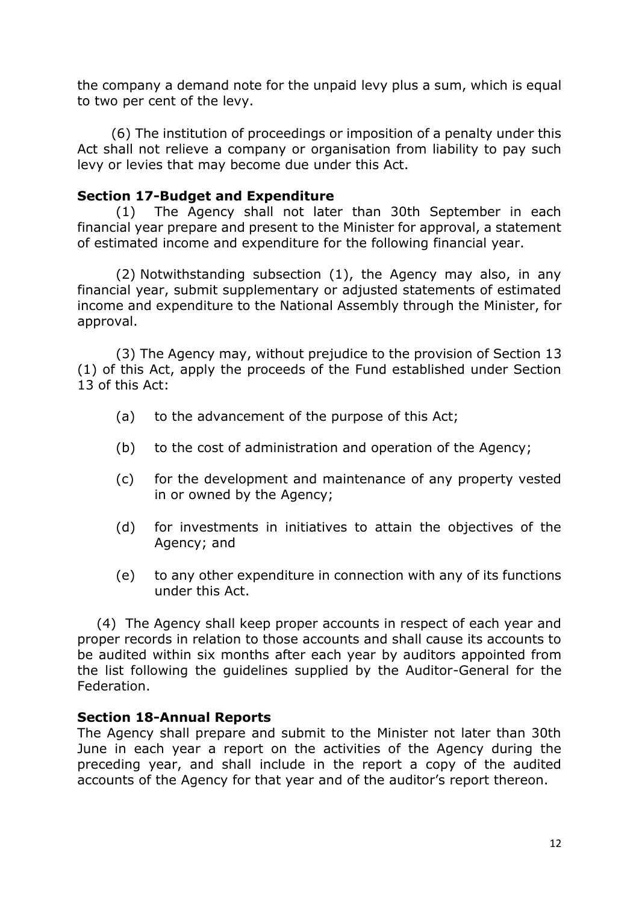the company a demand note for the unpaid levy plus a sum, which is equal to two per cent of the levy.

(6) The institution of proceedings or imposition of a penalty under this Act shall not relieve a company or organisation from liability to pay such levy or levies that may become due under this Act.

## **Section 17-Budget and Expenditure**

(1) The Agency shall not later than 30th September in each financial year prepare and present to the Minister for approval, a statement of estimated income and expenditure for the following financial year.

(2) Notwithstanding subsection (1), the Agency may also, in any financial year, submit supplementary or adjusted statements of estimated income and expenditure to the National Assembly through the Minister, for approval.

(3) The Agency may, without prejudice to the provision of Section 13 (1) of this Act, apply the proceeds of the Fund established under Section 13 of this Act:

- (a) to the advancement of the purpose of this Act;
- (b) to the cost of administration and operation of the Agency;
- (c) for the development and maintenance of any property vested in or owned by the Agency;
- (d) for investments in initiatives to attain the objectives of the Agency; and
- (e) to any other expenditure in connection with any of its functions under this Act.

(4) The Agency shall keep proper accounts in respect of each year and proper records in relation to those accounts and shall cause its accounts to be audited within six months after each year by auditors appointed from the list following the guidelines supplied by the Auditor-General for the Federation.

### **Section 18-Annual Reports**

The Agency shall prepare and submit to the Minister not later than 30th June in each year a report on the activities of the Agency during the preceding year, and shall include in the report a copy of the audited accounts of the Agency for that year and of the auditor's report thereon.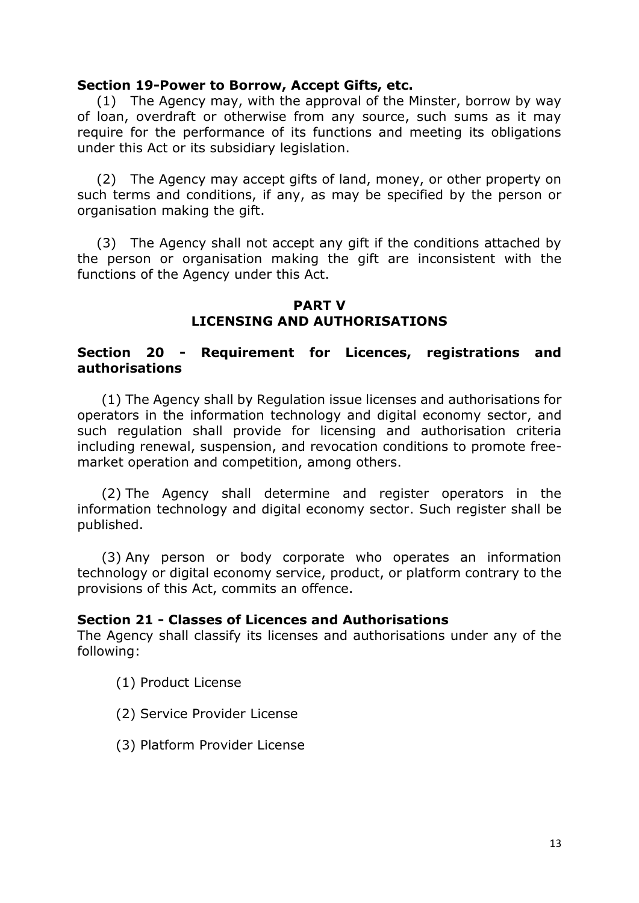#### **Section 19-Power to Borrow, Accept Gifts, etc.**

(1) The Agency may, with the approval of the Minster, borrow by way of loan, overdraft or otherwise from any source, such sums as it may require for the performance of its functions and meeting its obligations under this Act or its subsidiary legislation.

(2) The Agency may accept gifts of land, money, or other property on such terms and conditions, if any, as may be specified by the person or organisation making the gift.

(3) The Agency shall not accept any gift if the conditions attached by the person or organisation making the gift are inconsistent with the functions of the Agency under this Act.

#### **PART V LICENSING AND AUTHORISATIONS**

### **Section 20 - Requirement for Licences, registrations and authorisations**

(1) The Agency shall by Regulation issue licenses and authorisations for operators in the information technology and digital economy sector, and such regulation shall provide for licensing and authorisation criteria including renewal, suspension, and revocation conditions to promote freemarket operation and competition, among others.

(2) The Agency shall determine and register operators in the information technology and digital economy sector. Such register shall be published.

(3) Any person or body corporate who operates an information technology or digital economy service, product, or platform contrary to the provisions of this Act, commits an offence.

### **Section 21 - Classes of Licences and Authorisations**

The Agency shall classify its licenses and authorisations under any of the following:

- (1) Product License
- (2) Service Provider License
- (3) Platform Provider License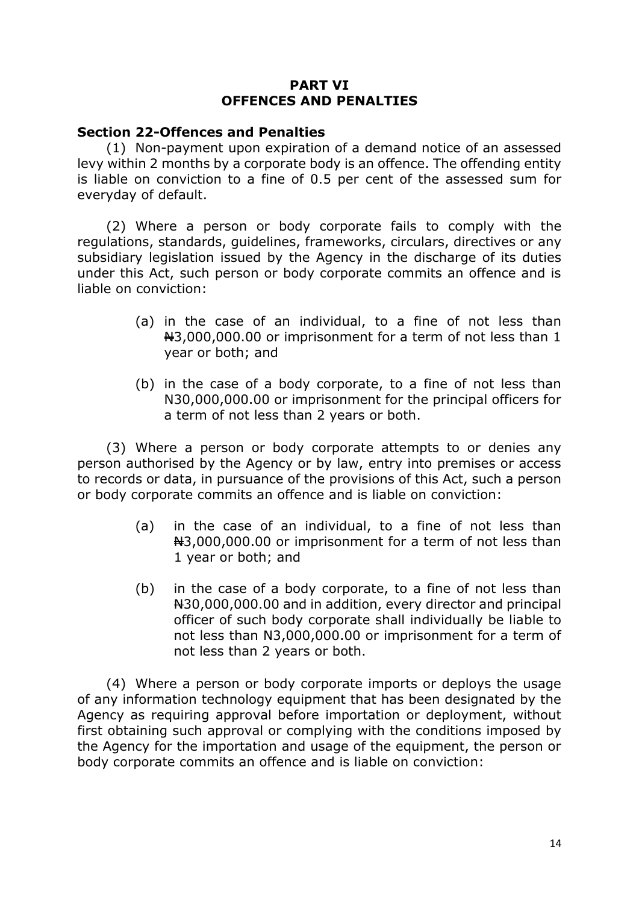#### **PART VI OFFENCES AND PENALTIES**

#### **Section 22-Offences and Penalties**

(1) Non-payment upon expiration of a demand notice of an assessed levy within 2 months by a corporate body is an offence. The offending entity is liable on conviction to a fine of 0.5 per cent of the assessed sum for everyday of default.

(2) Where a person or body corporate fails to comply with the regulations, standards, guidelines, frameworks, circulars, directives or any subsidiary legislation issued by the Agency in the discharge of its duties under this Act, such person or body corporate commits an offence and is liable on conviction:

- (a) in the case of an individual, to a fine of not less than  $\text{H}3,000,000.00$  or imprisonment for a term of not less than 1 year or both; and
- (b) in the case of a body corporate, to a fine of not less than N30,000,000.00 or imprisonment for the principal officers for a term of not less than 2 years or both.

(3) Where a person or body corporate attempts to or denies any person authorised by the Agency or by law, entry into premises or access to records or data, in pursuance of the provisions of this Act, such a person or body corporate commits an offence and is liable on conviction:

- (a) in the case of an individual, to a fine of not less than  $\text{H}3,000,000.00$  or imprisonment for a term of not less than 1 year or both; and
- (b) in the case of a body corporate, to a fine of not less than  $\text{A}30,000,000.00$  and in addition, every director and principal officer of such body corporate shall individually be liable to not less than N3,000,000.00 or imprisonment for a term of not less than 2 years or both.

(4) Where a person or body corporate imports or deploys the usage of any information technology equipment that has been designated by the Agency as requiring approval before importation or deployment, without first obtaining such approval or complying with the conditions imposed by the Agency for the importation and usage of the equipment, the person or body corporate commits an offence and is liable on conviction: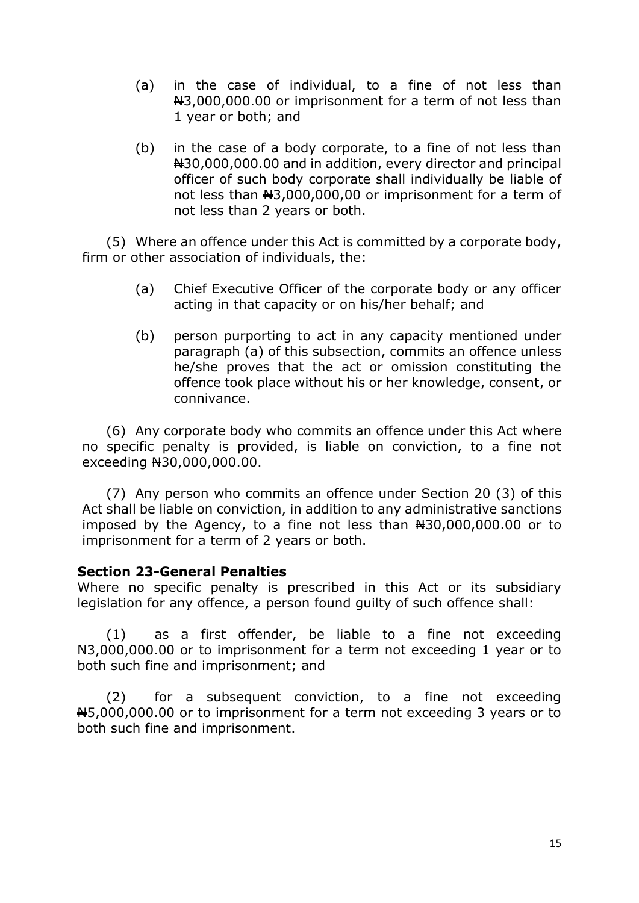- (a) in the case of individual, to a fine of not less than  $\text{A}3,000,000.00$  or imprisonment for a term of not less than 1 year or both; and
- (b) in the case of a body corporate, to a fine of not less than N<sub>30</sub>,000,000.00 and in addition, every director and principal officer of such body corporate shall individually be liable of not less than  $\frac{1}{2}3,000,000,00$  or imprisonment for a term of not less than 2 years or both.

(5) Where an offence under this Act is committed by a corporate body, firm or other association of individuals, the:

- (a) Chief Executive Officer of the corporate body or any officer acting in that capacity or on his/her behalf; and
- (b) person purporting to act in any capacity mentioned under paragraph (a) of this subsection, commits an offence unless he/she proves that the act or omission constituting the offence took place without his or her knowledge, consent, or connivance.

(6) Any corporate body who commits an offence under this Act where no specific penalty is provided, is liable on conviction, to a fine not exceeding  $\text{A}30,000,000.00$ .

(7) Any person who commits an offence under Section 20 (3) of this Act shall be liable on conviction, in addition to any administrative sanctions imposed by the Agency, to a fine not less than  $#30,000,000.00$  or to imprisonment for a term of 2 years or both.

### **Section 23-General Penalties**

Where no specific penalty is prescribed in this Act or its subsidiary legislation for any offence, a person found guilty of such offence shall:

(1) as a first offender, be liable to a fine not exceeding N3,000,000.00 or to imprisonment for a term not exceeding 1 year or to both such fine and imprisonment; and

(2) for a subsequent conviction, to a fine not exceeding  $#5,000,000.00$  or to imprisonment for a term not exceeding 3 years or to both such fine and imprisonment.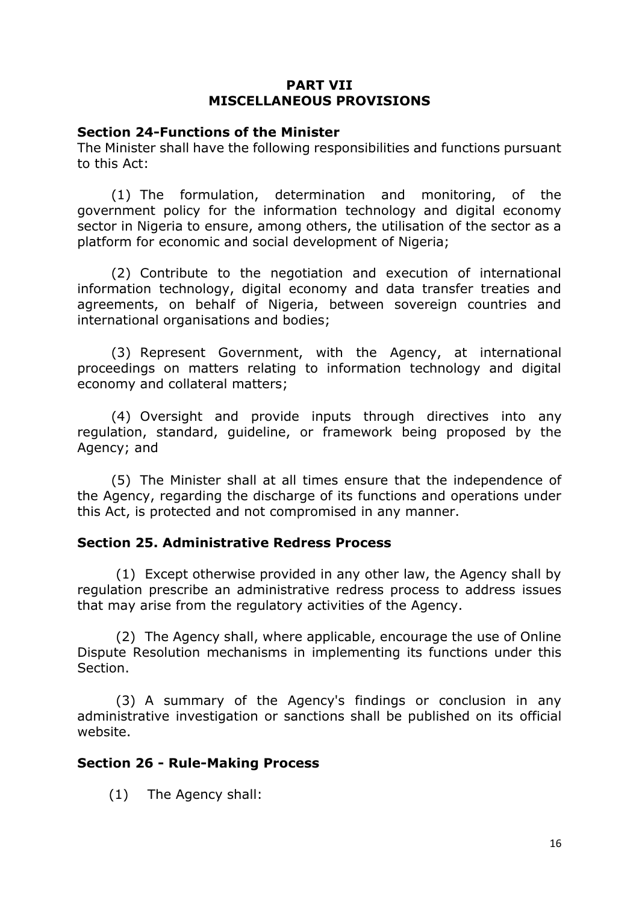#### **PART VII MISCELLANEOUS PROVISIONS**

#### **Section 24-Functions of the Minister**

The Minister shall have the following responsibilities and functions pursuant to this Act:

(1) The formulation, determination and monitoring, of the government policy for the information technology and digital economy sector in Nigeria to ensure, among others, the utilisation of the sector as a platform for economic and social development of Nigeria;

(2) Contribute to the negotiation and execution of international information technology, digital economy and data transfer treaties and agreements, on behalf of Nigeria, between sovereign countries and international organisations and bodies;

(3) Represent Government, with the Agency, at international proceedings on matters relating to information technology and digital economy and collateral matters;

(4) Oversight and provide inputs through directives into any regulation, standard, guideline, or framework being proposed by the Agency; and

(5) The Minister shall at all times ensure that the independence of the Agency, regarding the discharge of its functions and operations under this Act, is protected and not compromised in any manner.

### **Section 25. Administrative Redress Process**

(1) Except otherwise provided in any other law, the Agency shall by regulation prescribe an administrative redress process to address issues that may arise from the regulatory activities of the Agency.

(2) The Agency shall, where applicable, encourage the use of Online Dispute Resolution mechanisms in implementing its functions under this Section.

(3) A summary of the Agency's findings or conclusion in any administrative investigation or sanctions shall be published on its official website.

### **Section 26 - Rule-Making Process**

(1) The Agency shall: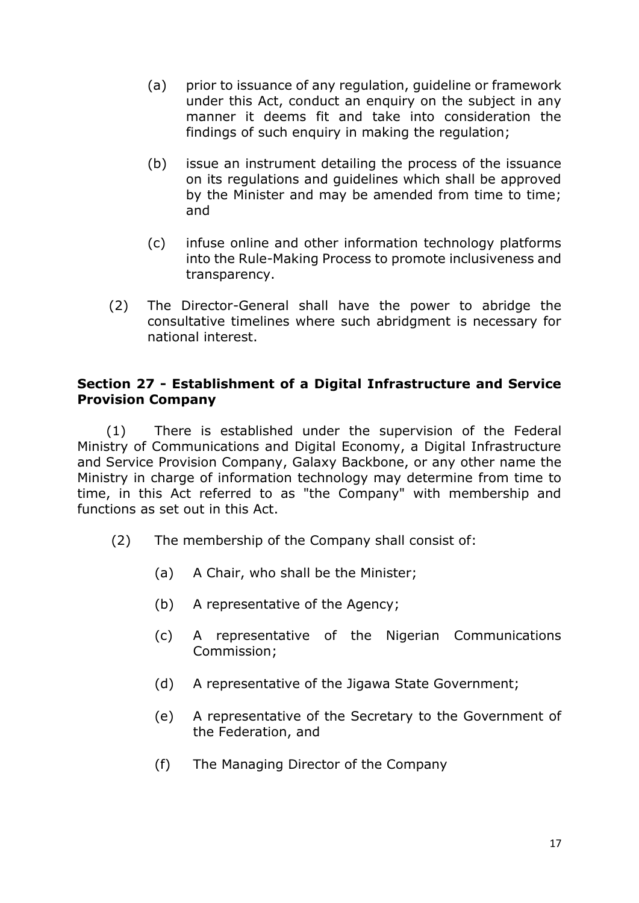- (a) prior to issuance of any regulation, guideline or framework under this Act, conduct an enquiry on the subject in any manner it deems fit and take into consideration the findings of such enquiry in making the regulation;
- (b) issue an instrument detailing the process of the issuance on its regulations and guidelines which shall be approved by the Minister and may be amended from time to time; and
- (c) infuse online and other information technology platforms into the Rule-Making Process to promote inclusiveness and transparency.
- (2) The Director-General shall have the power to abridge the consultative timelines where such abridgment is necessary for national interest.

## **Section 27 - Establishment of a Digital Infrastructure and Service Provision Company**

(1) There is established under the supervision of the Federal Ministry of Communications and Digital Economy, a Digital Infrastructure and Service Provision Company, Galaxy Backbone, or any other name the Ministry in charge of information technology may determine from time to time, in this Act referred to as "the Company" with membership and functions as set out in this Act.

- (2) The membership of the Company shall consist of:
	- (a) A Chair, who shall be the Minister;
	- (b) A representative of the Agency;
	- (c) A representative of the Nigerian Communications Commission;
	- (d) A representative of the Jigawa State Government;
	- (e) A representative of the Secretary to the Government of the Federation, and
	- (f) The Managing Director of the Company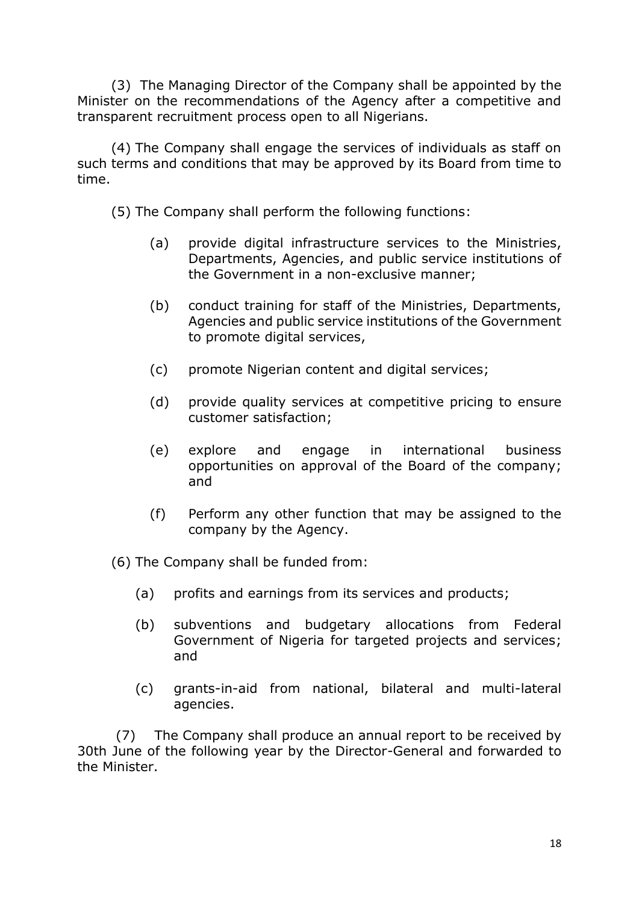(3) The Managing Director of the Company shall be appointed by the Minister on the recommendations of the Agency after a competitive and transparent recruitment process open to all Nigerians.

(4) The Company shall engage the services of individuals as staff on such terms and conditions that may be approved by its Board from time to time.

(5) The Company shall perform the following functions:

- (a) provide digital infrastructure services to the Ministries, Departments, Agencies, and public service institutions of the Government in a non-exclusive manner;
- (b) conduct training for staff of the Ministries, Departments, Agencies and public service institutions of the Government to promote digital services,
- (c) promote Nigerian content and digital services;
- (d) provide quality services at competitive pricing to ensure customer satisfaction;
- (e) explore and engage in international business opportunities on approval of the Board of the company; and
- (f) Perform any other function that may be assigned to the company by the Agency.

(6) The Company shall be funded from:

- (a) profits and earnings from its services and products;
- (b) subventions and budgetary allocations from Federal Government of Nigeria for targeted projects and services; and
- (c) grants-in-aid from national, bilateral and multi-lateral agencies.

(7) The Company shall produce an annual report to be received by 30th June of the following year by the Director-General and forwarded to the Minister.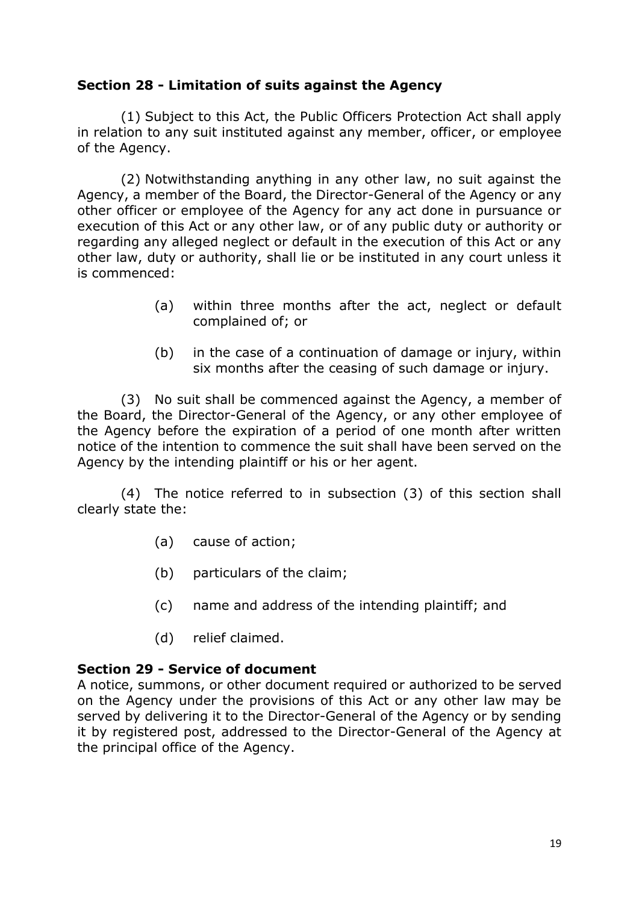## **Section 28 - Limitation of suits against the Agency**

(1) Subject to this Act, the Public Officers Protection Act shall apply in relation to any suit instituted against any member, officer, or employee of the Agency.

(2) Notwithstanding anything in any other law, no suit against the Agency, a member of the Board, the Director-General of the Agency or any other officer or employee of the Agency for any act done in pursuance or execution of this Act or any other law, or of any public duty or authority or regarding any alleged neglect or default in the execution of this Act or any other law, duty or authority, shall lie or be instituted in any court unless it is commenced:

- (a) within three months after the act, neglect or default complained of; or
- (b) in the case of a continuation of damage or injury, within six months after the ceasing of such damage or injury.

(3) No suit shall be commenced against the Agency, a member of the Board, the Director-General of the Agency, or any other employee of the Agency before the expiration of a period of one month after written notice of the intention to commence the suit shall have been served on the Agency by the intending plaintiff or his or her agent.

(4) The notice referred to in subsection (3) of this section shall clearly state the:

- (a) cause of action;
- (b) particulars of the claim;
- (c) name and address of the intending plaintiff; and
- (d) relief claimed.

### **Section 29 - Service of document**

A notice, summons, or other document required or authorized to be served on the Agency under the provisions of this Act or any other law may be served by delivering it to the Director-General of the Agency or by sending it by registered post, addressed to the Director-General of the Agency at the principal office of the Agency.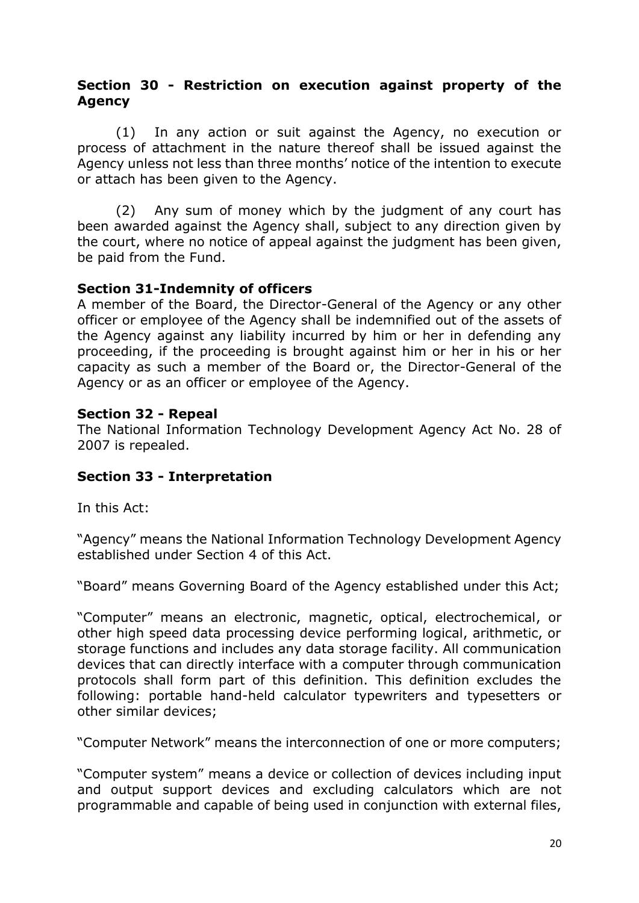## **Section 30 - Restriction on execution against property of the Agency**

(1) In any action or suit against the Agency, no execution or process of attachment in the nature thereof shall be issued against the Agency unless not less than three months' notice of the intention to execute or attach has been given to the Agency.

(2) Any sum of money which by the judgment of any court has been awarded against the Agency shall, subject to any direction given by the court, where no notice of appeal against the judgment has been given, be paid from the Fund.

## **Section 31-Indemnity of officers**

A member of the Board, the Director-General of the Agency or any other officer or employee of the Agency shall be indemnified out of the assets of the Agency against any liability incurred by him or her in defending any proceeding, if the proceeding is brought against him or her in his or her capacity as such a member of the Board or, the Director-General of the Agency or as an officer or employee of the Agency.

### **Section 32 - Repeal**

The National Information Technology Development Agency Act No. 28 of 2007 is repealed.

## **Section 33 - Interpretation**

In this Act:

"Agency" means the National Information Technology Development Agency established under Section 4 of this Act.

"Board" means Governing Board of the Agency established under this Act;

"Computer" means an electronic, magnetic, optical, electrochemical, or other high speed data processing device performing logical, arithmetic, or storage functions and includes any data storage facility. All communication devices that can directly interface with a computer through communication protocols shall form part of this definition. This definition excludes the following: portable hand-held calculator typewriters and typesetters or other similar devices;

"Computer Network" means the interconnection of one or more computers;

"Computer system" means a device or collection of devices including input and output support devices and excluding calculators which are not programmable and capable of being used in conjunction with external files,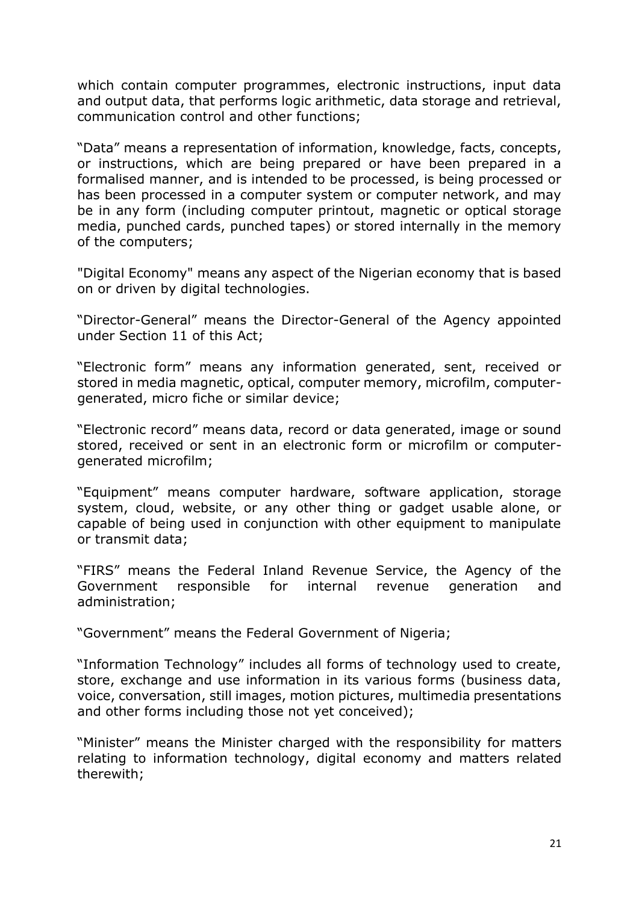which contain computer programmes, electronic instructions, input data and output data, that performs logic arithmetic, data storage and retrieval, communication control and other functions;

"Data" means a representation of information, knowledge, facts, concepts, or instructions, which are being prepared or have been prepared in a formalised manner, and is intended to be processed, is being processed or has been processed in a computer system or computer network, and may be in any form (including computer printout, magnetic or optical storage media, punched cards, punched tapes) or stored internally in the memory of the computers;

"Digital Economy" means any aspect of the Nigerian economy that is based on or driven by digital technologies.

"Director-General" means the Director-General of the Agency appointed under Section 11 of this Act;

"Electronic form" means any information generated, sent, received or stored in media magnetic, optical, computer memory, microfilm, computergenerated, micro fiche or similar device;

"Electronic record" means data, record or data generated, image or sound stored, received or sent in an electronic form or microfilm or computergenerated microfilm;

"Equipment" means computer hardware, software application, storage system, cloud, website, or any other thing or gadget usable alone, or capable of being used in conjunction with other equipment to manipulate or transmit data;

"FIRS" means the Federal Inland Revenue Service, the Agency of the Government responsible for internal revenue generation and administration;

"Government" means the Federal Government of Nigeria;

"Information Technology" includes all forms of technology used to create, store, exchange and use information in its various forms (business data, voice, conversation, still images, motion pictures, multimedia presentations and other forms including those not yet conceived);

"Minister" means the Minister charged with the responsibility for matters relating to information technology, digital economy and matters related therewith;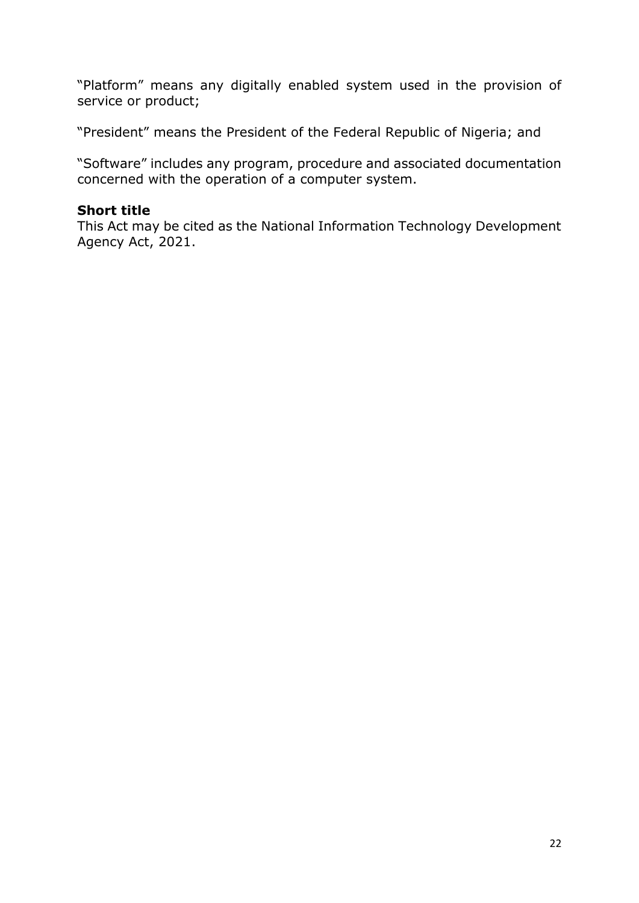"Platform" means any digitally enabled system used in the provision of service or product;

"President" means the President of the Federal Republic of Nigeria; and

"Software" includes any program, procedure and associated documentation concerned with the operation of a computer system.

## **Short title**

This Act may be cited as the National Information Technology Development Agency Act, 2021.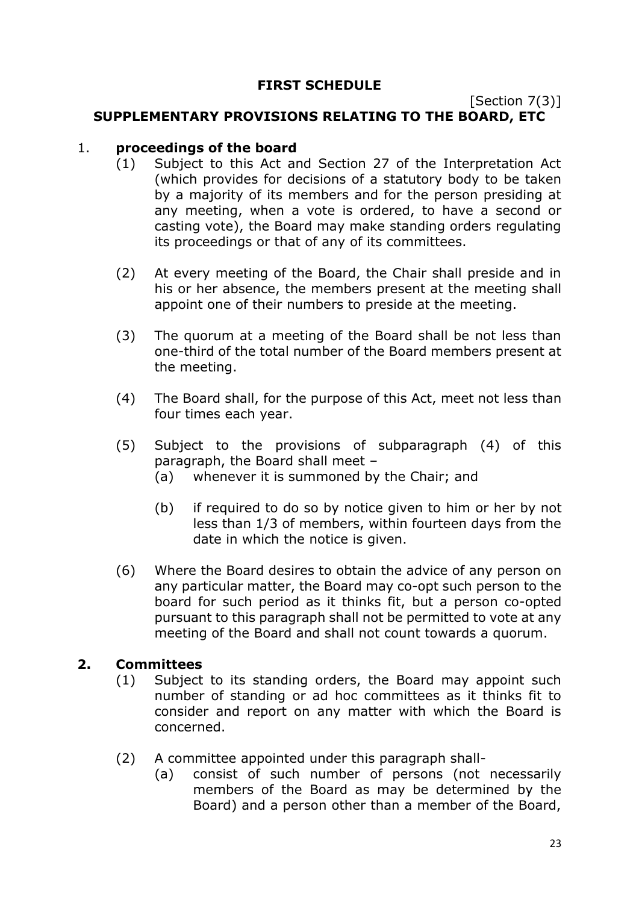## **FIRST SCHEDULE**

#### [Section 7(3)]

#### **SUPPLEMENTARY PROVISIONS RELATING TO THE BOARD, ETC**

#### 1. **proceedings of the board**

- (1) Subject to this Act and Section 27 of the Interpretation Act (which provides for decisions of a statutory body to be taken by a majority of its members and for the person presiding at any meeting, when a vote is ordered, to have a second or casting vote), the Board may make standing orders regulating its proceedings or that of any of its committees.
- (2) At every meeting of the Board, the Chair shall preside and in his or her absence, the members present at the meeting shall appoint one of their numbers to preside at the meeting.
- (3) The quorum at a meeting of the Board shall be not less than one-third of the total number of the Board members present at the meeting.
- (4) The Board shall, for the purpose of this Act, meet not less than four times each year.
- (5) Subject to the provisions of subparagraph (4) of this paragraph, the Board shall meet –
	- (a) whenever it is summoned by the Chair; and
	- (b) if required to do so by notice given to him or her by not less than 1/3 of members, within fourteen days from the date in which the notice is given.
- (6) Where the Board desires to obtain the advice of any person on any particular matter, the Board may co-opt such person to the board for such period as it thinks fit, but a person co-opted pursuant to this paragraph shall not be permitted to vote at any meeting of the Board and shall not count towards a quorum.

### **2. Committees**

- (1) Subject to its standing orders, the Board may appoint such number of standing or ad hoc committees as it thinks fit to consider and report on any matter with which the Board is concerned.
- (2) A committee appointed under this paragraph shall-
	- (a) consist of such number of persons (not necessarily members of the Board as may be determined by the Board) and a person other than a member of the Board,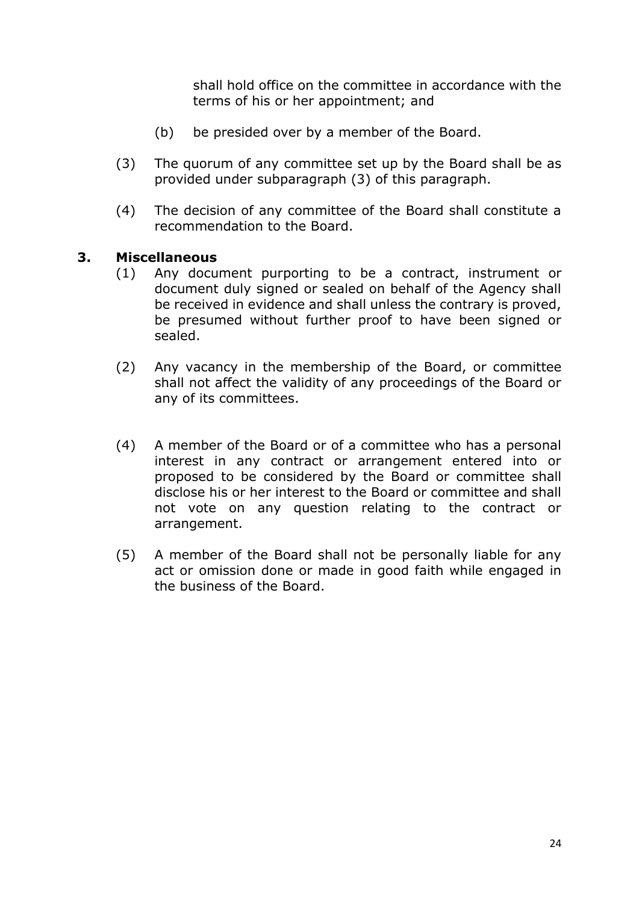shall hold office on the committee in accordance with the terms of his or her appointment; and

- (b) be presided over by a member of the Board.
- (3) The quorum of any committee set up by the Board shall be as provided under subparagraph (3) of this paragraph.
- (4) The decision of any committee of the Board shall constitute a recommendation to the Board.

### **3. Miscellaneous**

- (1) Any document purporting to be a contract, instrument or document duly signed or sealed on behalf of the Agency shall be received in evidence and shall unless the contrary is proved, be presumed without further proof to have been signed or sealed.
- (2) Any vacancy in the membership of the Board, or committee shall not affect the validity of any proceedings of the Board or any of its committees.
- (4) A member of the Board or of a committee who has a personal interest in any contract or arrangement entered into or proposed to be considered by the Board or committee shall disclose his or her interest to the Board or committee and shall not vote on any question relating to the contract or arrangement.
- (5) A member of the Board shall not be personally liable for any act or omission done or made in good faith while engaged in the business of the Board.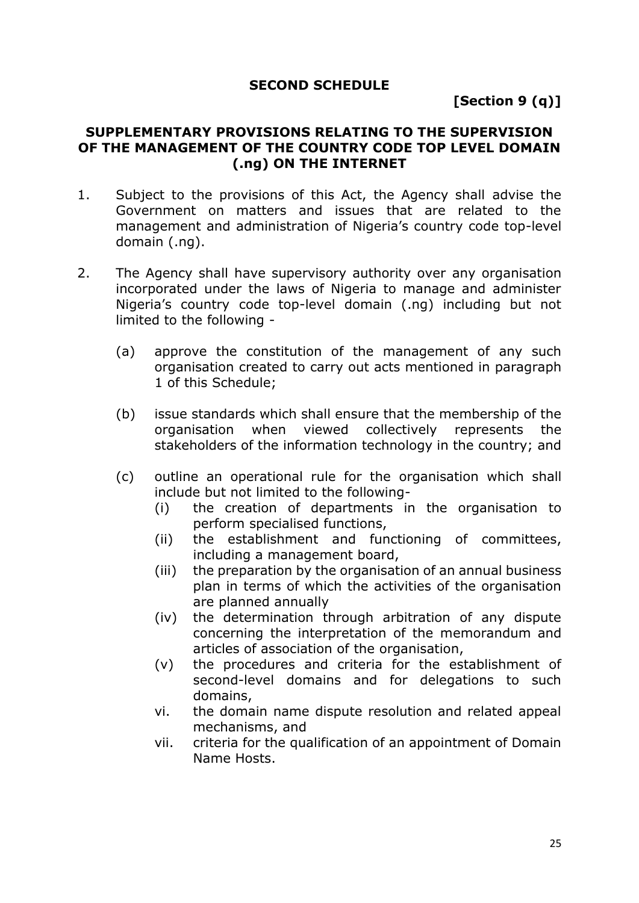### **SECOND SCHEDULE**

## **[Section 9 (q)]**

#### **SUPPLEMENTARY PROVISIONS RELATING TO THE SUPERVISION OF THE MANAGEMENT OF THE COUNTRY CODE TOP LEVEL DOMAIN (.ng) ON THE INTERNET**

- 1. Subject to the provisions of this Act, the Agency shall advise the Government on matters and issues that are related to the management and administration of Nigeria's country code top-level domain (.ng).
- 2. The Agency shall have supervisory authority over any organisation incorporated under the laws of Nigeria to manage and administer Nigeria's country code top-level domain (.ng) including but not limited to the following -
	- (a) approve the constitution of the management of any such organisation created to carry out acts mentioned in paragraph 1 of this Schedule;
	- (b) issue standards which shall ensure that the membership of the organisation when viewed collectively represents the stakeholders of the information technology in the country; and
	- (c) outline an operational rule for the organisation which shall include but not limited to the following-
		- (i) the creation of departments in the organisation to perform specialised functions,
		- (ii) the establishment and functioning of committees, including a management board,
		- (iii) the preparation by the organisation of an annual business plan in terms of which the activities of the organisation are planned annually
		- (iv) the determination through arbitration of any dispute concerning the interpretation of the memorandum and articles of association of the organisation,
		- (v) the procedures and criteria for the establishment of second-level domains and for delegations to such domains,
		- vi. the domain name dispute resolution and related appeal mechanisms, and
		- vii. criteria for the qualification of an appointment of Domain Name Hosts.